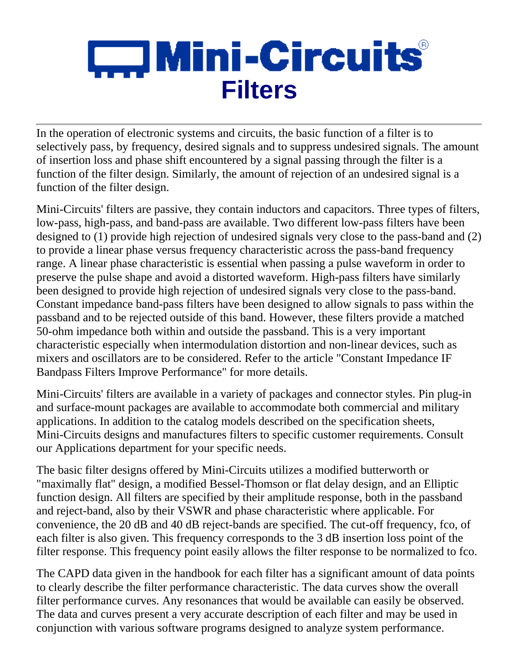# $\square$  Mini-Circuits $^\circ$ **Filters**

In the operation of electronic systems and circuits, the basic function of a filter is to selectively pass, by frequency, desired signals and to suppress undesired signals. The amount of insertion loss and phase shift encountered by a signal passing through the filter is a function of the filter design. Similarly, the amount of rejection of an undesired signal is a function of the filter design.

Mini-Circuits' filters are passive, they contain inductors and capacitors. Three types of filters, low-pass, high-pass, and band-pass are available. Two different low-pass filters have been designed to (1) provide high rejection of undesired signals very close to the pass-band and (2) to provide a linear phase versus frequency characteristic across the pass-band frequency range. A linear phase characteristic is essential when passing a pulse waveform in order to preserve the pulse shape and avoid a distorted waveform. High-pass filters have similarly been designed to provide high rejection of undesired signals very close to the pass-band. Constant impedance band-pass filters have been designed to allow signals to pass within the passband and to be rejected outside of this band. However, these filters provide a matched 50-ohm impedance both within and outside the passband. This is a very important characteristic especially when intermodulation distortion and non-linear devices, such as mixers and oscillators are to be considered. Refer to the article "Constant Impedance IF Bandpass Filters Improve Performance" for more details.

Mini-Circuits' filters are available in a variety of packages and connector styles. Pin plug-in and surface-mount packages are available to accommodate both commercial and military applications. In addition to the catalog models described on the specification sheets, Mini-Circuits designs and manufactures filters to specific customer requirements. Consult our Applications department for your specific needs.

The basic filter designs offered by Mini-Circuits utilizes a modified butterworth or "maximally flat" design, a modified Bessel-Thomson or flat delay design, and an Elliptic function design. All filters are specified by their amplitude response, both in the passband and reject-band, also by their VSWR and phase characteristic where applicable. For convenience, the 20 dB and 40 dB reject-bands are specified. The cut-off frequency, fco, of each filter is also given. This frequency corresponds to the 3 dB insertion loss point of the filter response. This frequency point easily allows the filter response to be normalized to fco.

The CAPD data given in the handbook for each filter has a significant amount of data points to clearly describe the filter performance characteristic. The data curves show the overall filter performance curves. Any resonances that would be available can easily be observed. The data and curves present a very accurate description of each filter and may be used in conjunction with various software programs designed to analyze system performance.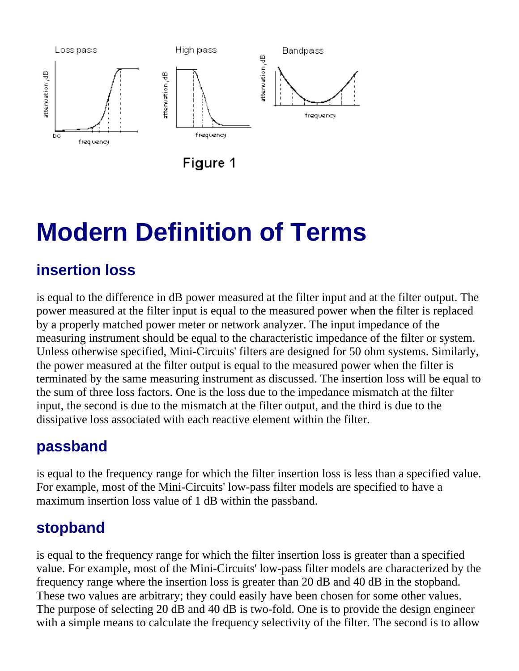

## **Modern Definition of Terms**

## **insertion loss**

is equal to the difference in dB power measured at the filter input and at the filter output. The power measured at the filter input is equal to the measured power when the filter is replaced by a properly matched power meter or network analyzer. The input impedance of the measuring instrument should be equal to the characteristic impedance of the filter or system. Unless otherwise specified, Mini-Circuits' filters are designed for 50 ohm systems. Similarly, the power measured at the filter output is equal to the measured power when the filter is terminated by the same measuring instrument as discussed. The insertion loss will be equal to the sum of three loss factors. One is the loss due to the impedance mismatch at the filter input, the second is due to the mismatch at the filter output, and the third is due to the dissipative loss associated with each reactive element within the filter.

## **passband**

is equal to the frequency range for which the filter insertion loss is less than a specified value. For example, most of the Mini-Circuits' low-pass filter models are specified to have a maximum insertion loss value of 1 dB within the passband.

## **stopband**

is equal to the frequency range for which the filter insertion loss is greater than a specified value. For example, most of the Mini-Circuits' low-pass filter models are characterized by the frequency range where the insertion loss is greater than 20 dB and 40 dB in the stopband. These two values are arbitrary; they could easily have been chosen for some other values. The purpose of selecting 20 dB and 40 dB is two-fold. One is to provide the design engineer with a simple means to calculate the frequency selectivity of the filter. The second is to allow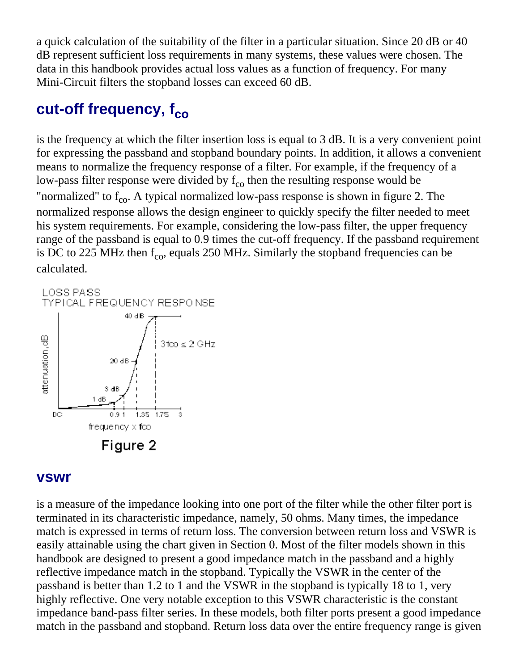a quick calculation of the suitability of the filter in a particular situation. Since 20 dB or 40 dB represent sufficient loss requirements in many systems, these values were chosen. The data in this handbook provides actual loss values as a function of frequency. For many Mini-Circuit filters the stopband losses can exceed 60 dB.

## cut-off frequency, f<sub>co</sub>

is the frequency at which the filter insertion loss is equal to 3 dB. It is a very convenient point for expressing the passband and stopband boundary points. In addition, it allows a convenient means to normalize the frequency response of a filter. For example, if the frequency of a low-pass filter response were divided by  $f_{\rm co}$  then the resulting response would be "normalized" to  $f_{\text{co}}$ . A typical normalized low-pass response is shown in figure 2. The normalized response allows the design engineer to quickly specify the filter needed to meet his system requirements. For example, considering the low-pass filter, the upper frequency range of the passband is equal to 0.9 times the cut-off frequency. If the passband requirement is DC to 225 MHz then  $f_{\text{co}}$ , equals 250 MHz. Similarly the stopband frequencies can be calculated.



### **vswr**

is a measure of the impedance looking into one port of the filter while the other filter port is terminated in its characteristic impedance, namely, 50 ohms. Many times, the impedance match is expressed in terms of return loss. The conversion between return loss and VSWR is easily attainable using the chart given in Section 0. Most of the filter models shown in this handbook are designed to present a good impedance match in the passband and a highly reflective impedance match in the stopband. Typically the VSWR in the center of the passband is better than 1.2 to 1 and the VSWR in the stopband is typically 18 to 1, very highly reflective. One very notable exception to this VSWR characteristic is the constant impedance band-pass filter series. In these models, both filter ports present a good impedance match in the passband and stopband. Return loss data over the entire frequency range is given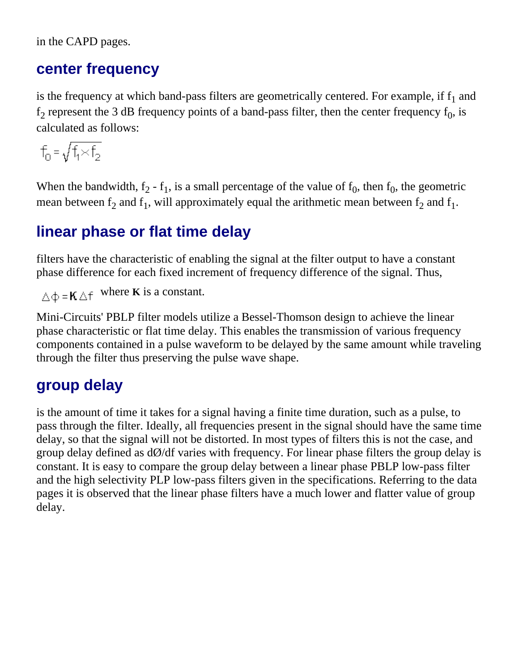in the CAPD pages.

### **center frequency**

is the frequency at which band-pass filters are geometrically centered. For example, if  $f_1$  and  $f_2$  represent the 3 dB frequency points of a band-pass filter, then the center frequency  $f_0$ , is calculated as follows:

$$
f_0^{\phantom{0}}=\sqrt{f_1^{\phantom{0}}\hspace{-0.05cm}\times\hspace{-0.05cm}f_2}
$$

When the bandwidth,  $f_2 - f_1$ , is a small percentage of the value of  $f_0$ , then  $f_0$ , the geometric mean between  $f_2$  and  $f_1$ , will approximately equal the arithmetic mean between  $f_2$  and  $f_1$ .

## **linear phase or flat time delay**

filters have the characteristic of enabling the signal at the filter output to have a constant phase difference for each fixed increment of frequency difference of the signal. Thus,

 $\triangle \Phi = \mathbf{K} \triangle \mathbf{f}$  where **K** is a constant.

Mini-Circuits' PBLP filter models utilize a Bessel-Thomson design to achieve the linear phase characteristic or flat time delay. This enables the transmission of various frequency components contained in a pulse waveform to be delayed by the same amount while traveling through the filter thus preserving the pulse wave shape.

## **group delay**

is the amount of time it takes for a signal having a finite time duration, such as a pulse, to pass through the filter. Ideally, all frequencies present in the signal should have the same time delay, so that the signal will not be distorted. In most types of filters this is not the case, and group delay defined as  $d\phi/df$  varies with frequency. For linear phase filters the group delay is constant. It is easy to compare the group delay between a linear phase PBLP low-pass filter and the high selectivity PLP low-pass filters given in the specifications. Referring to the data pages it is observed that the linear phase filters have a much lower and flatter value of group delay.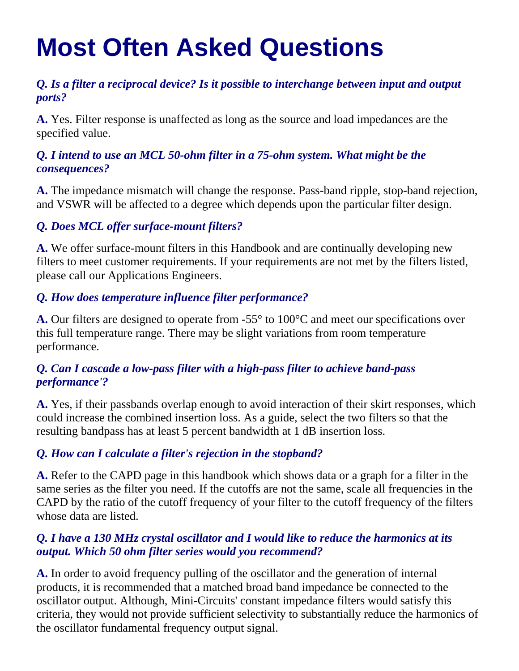## **Most Often Asked Questions**

### *Q. Is a filter a reciprocal device? Is it possible to interchange between input and output ports?*

**A.** Yes. Filter response is unaffected as long as the source and load impedances are the specified value.

### *Q. I intend to use an MCL 50-ohm filter in a 75-ohm system. What might be the consequences?*

**A.** The impedance mismatch will change the response. Pass-band ripple, stop-band rejection, and VSWR will be affected to a degree which depends upon the particular filter design.

### *Q. Does MCL offer surface-mount filters?*

**A.** We offer surface-mount filters in this Handbook and are continually developing new filters to meet customer requirements. If your requirements are not met by the filters listed, please call our Applications Engineers.

### *Q. How does temperature influence filter performance?*

**A.** Our filters are designed to operate from -55° to 100°C and meet our specifications over this full temperature range. There may be slight variations from room temperature performance.

### *Q. Can I cascade a low-pass filter with a high-pass filter to achieve band-pass performance'?*

**A.** Yes, if their passbands overlap enough to avoid interaction of their skirt responses, which could increase the combined insertion loss. As a guide, select the two filters so that the resulting bandpass has at least 5 percent bandwidth at 1 dB insertion loss.

### *Q. How can I calculate a filter's rejection in the stopband?*

**A.** Refer to the CAPD page in this handbook which shows data or a graph for a filter in the same series as the filter you need. If the cutoffs are not the same, scale all frequencies in the CAPD by the ratio of the cutoff frequency of your filter to the cutoff frequency of the filters whose data are listed.

### *Q. I have a 130 MHz crystal oscillator and I would like to reduce the harmonics at its output. Which 50 ohm filter series would you recommend?*

**A.** In order to avoid frequency pulling of the oscillator and the generation of internal products, it is recommended that a matched broad band impedance be connected to the oscillator output. Although, Mini-Circuits' constant impedance filters would satisfy this criteria, they would not provide sufficient selectivity to substantially reduce the harmonics of the oscillator fundamental frequency output signal.